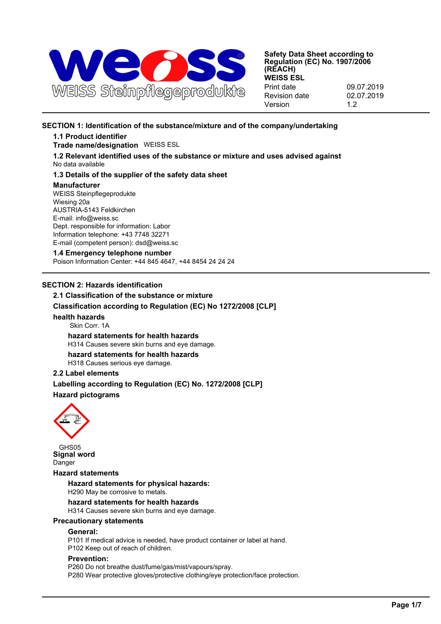

## **SECTION 1: Identification of the substance/mixture and of the company/undertaking**

## **1.1 Product identifier**

## **Trade name/designation** WEISS ESL

**1.2 Relevant identified uses of the substance or mixture and uses advised against** No data available

## **1.3 Details of the supplier of the safety data sheet**

#### **Manufacturer**

WEISS Steinpflegeprodukte Wiesing 20a AUSTRIA-5143 Feldkirchen E-mail: info@weiss.sc Dept. responsible for information: Labor Information telephone: +43 7748 32271 E-mail (competent person): dsd@weiss.sc

### **1.4 Emergency telephone number**

Poison Information Center: +44 845 4647, +44 8454 24 24 24

## **SECTION 2: Hazards identification**

# **2.1 Classification of the substance or mixture Classification according to Regulation (EC) No 1272/2008 [CLP] health hazards** Skin Corr. 1A **hazard statements for health hazards** H314 Causes severe skin burns and eye damage. **hazard statements for health hazards** H318 Causes serious eye damage.

## **2.2 Label elements**

**Labelling according to Regulation (EC) No. 1272/2008 [CLP] Hazard pictograms**



GHS05 **Signal word** Danger

## **Hazard statements**

**Hazard statements for physical hazards:** H290 May be corrosive to metals.

### **hazard statements for health hazards**

H314 Causes severe skin burns and eye damage.

## **Precautionary statements**

## **General:**

P101 If medical advice is needed, have product container or label at hand. P102 Keep out of reach of children.

## **Prevention:**

P260 Do not breathe dust/fume/gas/mist/vapours/spray. P280 Wear protective gloves/protective clothing/eye protection/face protection.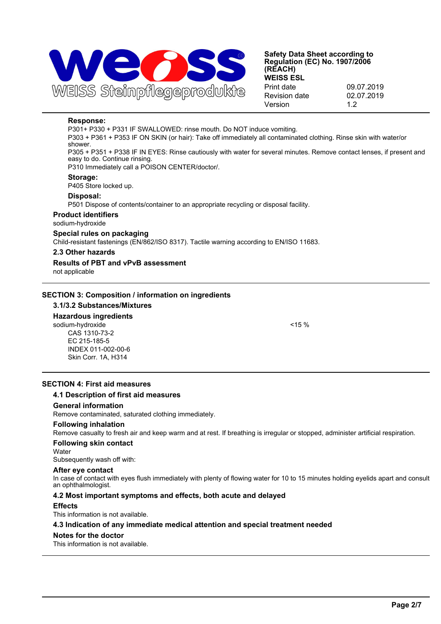

## **Response:**

P301+ P330 + P331 IF SWALLOWED: rinse mouth. Do NOT induce vomiting.

P303 + P361 + P353 IF ON SKIN (or hair): Take off immediately all contaminated clothing. Rinse skin with water/or shower.

P305 + P351 + P338 IF IN EYES: Rinse cautiously with water for several minutes. Remove contact lenses, if present and easy to do. Continue rinsing.

P310 Immediately call a POISON CENTER/doctor/.

#### **Storage:**

P405 Store locked up.

#### **Disposal:**

P501 Dispose of contents/container to an appropriate recycling or disposal facility.

## **Product identifiers**

sodium-hydroxide

## **Special rules on packaging**

Child-resistant fastenings (EN/862/ISO 8317). Tactile warning according to EN/ISO 11683.

#### **2.3 Other hazards**

## **Results of PBT and vPvB assessment**

not applicable

## **SECTION 3: Composition / information on ingredients**

### **3.1/3.2 Substances/Mixtures**

## **Hazardous ingredients**

sodium-hydroxide <15 % CAS 1310-73-2 EC 215-185-5 INDEX 011-002-00-6 Skin Corr. 1A, H314

## **SECTION 4: First aid measures**

### **4.1 Description of first aid measures**

#### **General information**

Remove contaminated, saturated clothing immediately.

#### **Following inhalation**

Remove casualty to fresh air and keep warm and at rest. If breathing is irregular or stopped, administer artificial respiration.

#### **Following skin contact**

**Water** 

Subsequently wash off with:

#### **After eye contact**

In case of contact with eyes flush immediately with plenty of flowing water for 10 to 15 minutes holding eyelids apart and consult an ophthalmologist.

### **4.2 Most important symptoms and effects, both acute and delayed**

### **Effects**

This information is not available.

### **4.3 Indication of any immediate medical attention and special treatment needed**

### **Notes for the doctor**

This information is not available.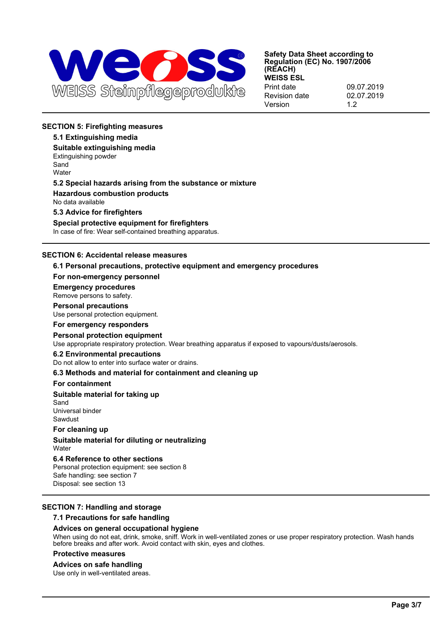

## **SECTION 5: Firefighting measures**

## **5.1 Extinguishing media**

**Suitable extinguishing media** Extinguishing powder Sand **Water** 

#### **5.2 Special hazards arising from the substance or mixture**

**Hazardous combustion products**

No data available

**5.3 Advice for firefighters**

**Special protective equipment for firefighters** In case of fire: Wear self-contained breathing apparatus.

## **SECTION 6: Accidental release measures**

#### **6.1 Personal precautions, protective equipment and emergency procedures**

#### **For non-emergency personnel**

**Emergency procedures** Remove persons to safety.

# **Personal precautions**

Use personal protection equipment.

#### **For emergency responders**

#### **Personal protection equipment**

Use appropriate respiratory protection. Wear breathing apparatus if exposed to vapours/dusts/aerosols.

#### **6.2 Environmental precautions**

Do not allow to enter into surface water or drains.

### **6.3 Methods and material for containment and cleaning up**

#### **For containment**

#### **Suitable material for taking up**

Sand Universal binder Sawdust

#### **For cleaning up**

**Suitable material for diluting or neutralizing** Water

## **6.4 Reference to other sections**

Personal protection equipment: see section 8 Safe handling: see section 7 Disposal: see section 13

### **SECTION 7: Handling and storage**

#### **7.1 Precautions for safe handling**

### **Advices on general occupational hygiene**

When using do not eat, drink, smoke, sniff. Work in well-ventilated zones or use proper respiratory protection. Wash hands before breaks and after work. Avoid contact with skin, eyes and clothes.

## **Protective measures**

#### **Advices on safe handling**

Use only in well-ventilated areas.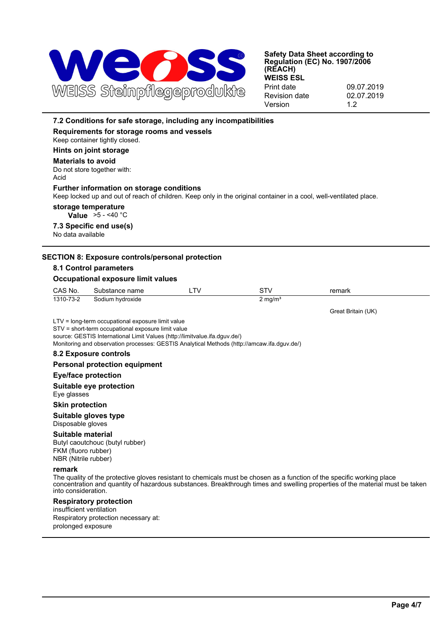

# **7.2 Conditions for safe storage, including any incompatibilities Requirements for storage rooms and vessels** Keep container tightly closed. **Hints on joint storage Materials to avoid** Do not store together with: Acid **Further information on storage conditions** Keep locked up and out of reach of children. Keep only in the original container in a cool, well-ventilated place. **storage temperature Value** >5 - <40 °C **7.3 Specific end use(s)** No data available **SECTION 8: Exposure controls/personal protection 8.1 Control parameters Occupational exposure limit values** CAS No. Substance name LTV STV STV remark 1310-73-2 Sodium hydroxide 2 mg/m<sup>3</sup> Great Britain (UK) LTV = long-term occupational exposure limit value STV = short-term occupational exposure limit value source: GESTIS International Limit Values (http://limitvalue.ifa.dguv.de/) Monitoring and observation processes: GESTIS Analytical Methods (http://amcaw.ifa.dguv.de/) **8.2 Exposure controls Personal protection equipment Eye/face protection Suitable eye protection** Eye glasses **Skin protection Suitable gloves type** Disposable gloves **Suitable material** Butyl caoutchouc (butyl rubber) FKM (fluoro rubber) NBR (Nitrile rubber) **remark** The quality of the protective gloves resistant to chemicals must be chosen as a function of the specific working place concentration and quantity of hazardous substances. Breakthrough times and swelling properties of the material must be taken into consideration. **Respiratory protection** insufficient ventilation Respiratory protection necessary at: prolonged exposure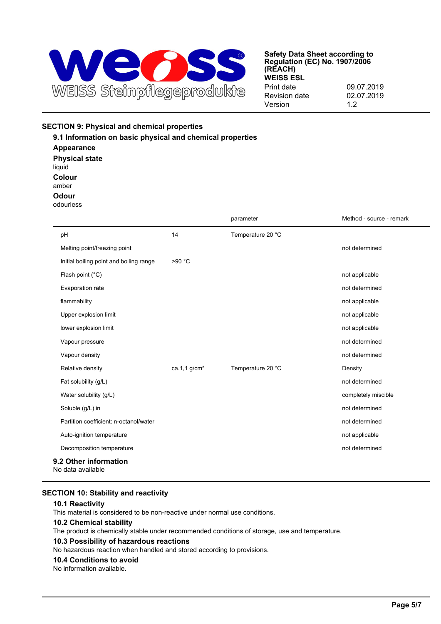

## **SECTION 9: Physical and chemical properties**

**9.1 Information on basic physical and chemical properties Appearance Physical state** liquid **Colour** amber **Odour** odourless parameter method - source - remark

| pH                                         | 14             | Temperature 20 °C |                     |
|--------------------------------------------|----------------|-------------------|---------------------|
| Melting point/freezing point               |                |                   | not determined      |
| Initial boiling point and boiling range    | >90 °C         |                   |                     |
| Flash point (°C)                           |                |                   | not applicable      |
| Evaporation rate                           |                |                   | not determined      |
| flammability                               |                |                   | not applicable      |
| Upper explosion limit                      |                |                   | not applicable      |
| lower explosion limit                      |                |                   | not applicable      |
| Vapour pressure                            |                |                   | not determined      |
| Vapour density                             |                |                   | not determined      |
| Relative density                           | ca.1,1 $g/cm3$ | Temperature 20 °C | Density             |
| Fat solubility (g/L)                       |                |                   | not determined      |
| Water solubility (g/L)                     |                |                   | completely miscible |
| Soluble (g/L) in                           |                |                   | not determined      |
| Partition coefficient: n-octanol/water     |                |                   | not determined      |
| Auto-ignition temperature                  |                |                   | not applicable      |
| Decomposition temperature                  |                |                   | not determined      |
| 9.2 Other information<br>No data available |                |                   |                     |

## **SECTION 10: Stability and reactivity**

## **10.1 Reactivity**

This material is considered to be non-reactive under normal use conditions.

### **10.2 Chemical stability**

The product is chemically stable under recommended conditions of storage, use and temperature.

### **10.3 Possibility of hazardous reactions**

No hazardous reaction when handled and stored according to provisions.

#### **10.4 Conditions to avoid**

No information available.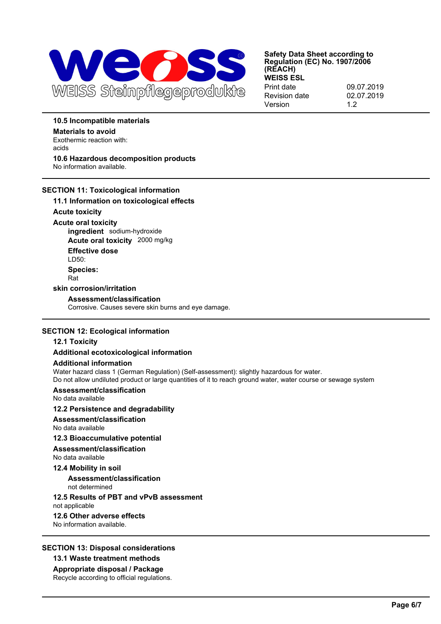

## **10.5 Incompatible materials**

**Materials to avoid** Exothermic reaction with: acids **10.6 Hazardous decomposition products** No information available.

## **SECTION 11: Toxicological information**

## **11.1 Information on toxicological effects**

**Acute toxicity**

**Acute oral toxicity ingredient** sodium-hydroxide **Acute oral toxicity** 2000 mg/kg **Effective dose** LD50: **Species:** Rat

### **skin corrosion/irritation**

## **Assessment/classification**

Corrosive. Causes severe skin burns and eye damage.

### **SECTION 12: Ecological information**

## **12.1 Toxicity**

## **Additional ecotoxicological information**

### **Additional information**

Water hazard class 1 (German Regulation) (Self-assessment): slightly hazardous for water.

Do not allow undiluted product or large quantities of it to reach ground water, water course or sewage system

# **Assessment/classification**

No data available

## **12.2 Persistence and degradability**

**Assessment/classification**

## No data available

**12.3 Bioaccumulative potential**

#### **Assessment/classification** No data available

### **12.4 Mobility in soil**

**Assessment/classification** not determined

## **12.5 Results of PBT and vPvB assessment**

not applicable

## **12.6 Other adverse effects**

No information available.

## **SECTION 13: Disposal considerations**

## **13.1 Waste treatment methods**

**Appropriate disposal / Package**

Recycle according to official regulations.